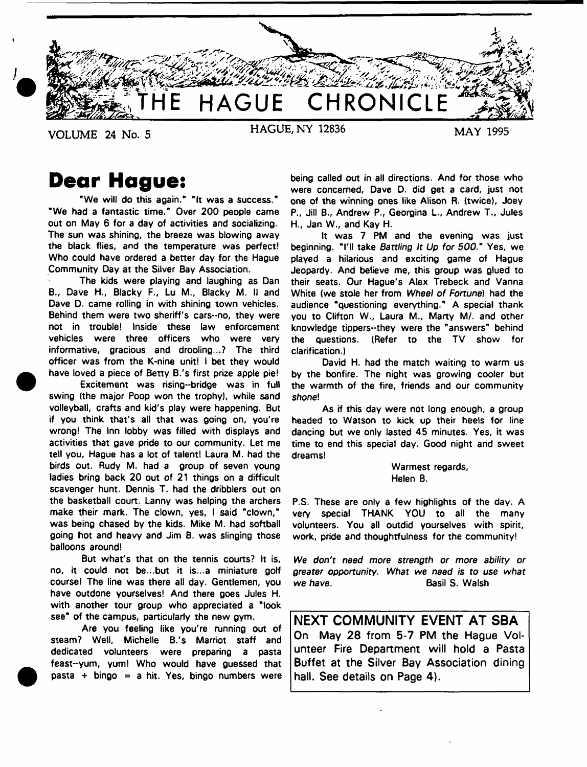

**Dear Hague:**

"We will do this again." "It was a success." "We had a fantastic time." Over 200 people came out on May 6 for a day of activities and socializing. The sun was shining, the breeze was blowing away the black flies, and the temperature was perfect! Who could have ordered a better day for the Hague Community Day at the Silver Bay Association.

The kids were playing and laughing as Dan B., Dave H., Blacky F., Lu M., Blacky M. II and Dave D. came rolling in with shining town vehicles. Behind them were two sheriff's cars--no, they were not in trouble! Inside these law enforcement vehicles were three officers who were very informative, gracious and drooling...? The third officer was from the K-nine unit! I bet they would have loved a piece of Betty B.'s first prize apple pie!

Excitement was rising-bridge was in full swing (the major Poop won the trophy), while sand volleyball, crafts and kid's play were happening. But if you think that's all that was going on, you're wrong! The Inn lobby was filled with displays and activities that gave pride to our community. Let me tell you, Hague has a lot of talent! Laura M. had the birds out. Rudy M. had a group of seven young ladies bring back 20 out of 21 things on a difficult scavenger hunt. Dennis T. had the dribblers out on the basketball court. Lanny was helping the archers make their mark. The clown, yes, I said "clown," was being chased by the kids. Mike M. had softball going hot and heavy and Jim B. was slinging those balloons around!

But what's that on the tennis courts? It is, no, it could not be...but it is...a miniature golf course! The line was there all day. Gentlemen, you have outdone yourselves! And there goes Jules H. with another tour group who appreciated a "look see" of the campus, particularly the new gym.

Are you feeling like you're running out of steam? Well, Michelle B.'s Marriot staff and dedicated volunteers were preparing a pasta feast-yum, yum! Who would have guessed that  $pasta + bingo = a hit. Yes, bingo numbers were$  being called out in all directions. And for those who were concerned, Dave D. did get a card, just not one of the winning ones like Alison R. (twice), Joey P., Jill B., Andrew P., Georgina L., Andrew T., Jules H., Jan W., and Kay H.

It was 7 PM and the evening was just beginning. "I'll take *Battling It Up for 500."* Yes, we played a hilarious and exciting game of Hague Jeopardy. And believe me, this group was glued to their seats. Our Hague's Alex Trebeck and Vanna White (we stole her from *Wheel of Fortune)* had the audience "questioning everything." A special thank you to Clifton W., Laura M., Marty M/. and other knowledge tippers-they were the "answers" behind the questions. (Refer to the TV show for clarification.)

David H. had the match waiting to warm us by the bonfire. The night was growing cooler but the warmth of the fire, friends and our community shone!

As if this day were not long enough, a group headed to Watson to kick up their heels for line dancing but we only lasted 45 minutes. Yes, it was time to end this special day. Good night and sweet dreams!

> Warmest regards, Helen B.

P.S. These are only a few highlights of the day. A very special THANK YOU to all the many volunteers. You all outdid yourselves with spirit, work, pride and thoughtfulness for the community!

*We don't need more strength or more ability or greater opportunity. What we need is* to use *what* **we have.** Basil S. Walsh

**NEXT COMMUNITY EVENT AT SBA On May 28 from 5-7 PM the Hague Volunteer Fire Department will hold a Pasta Buffet at the Silver Bay Association dining hall. See details on Page 4).**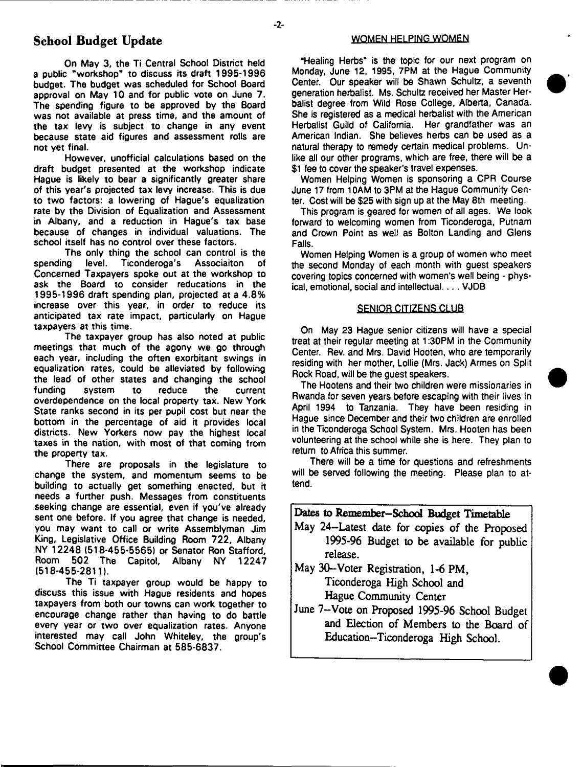## School Budget Update

On May 3, the Ti Central School District held a public "workshop" to discuss its draft 1995-1996 budget. The budget was scheduled for School Board approval on May 10 and for public vote on June 7. The spending figure to be approved by the Board was not available at press time, and the amount of the tax levy is subject to change in any event because state aid figures and assessment rolls are not yet final.

However, unofficial calculations based on the draft budget presented at the workshop indicate Hague is likely to bear a significantly greater share of this year's projected tax levy increase. This is due to two factors: a lowering of Hague's equalization rate by the Division of Equalization and Assessment in Albany, and a reduction in Hague's tax base because of changes in individual valuations. The school itself has no control over these factors.

The only thing the school can control is the spending level. Ticonderoga's Associaiton of Concerned Taxpayers spoke out at the workshop to ask the Board to consider reducations in the 1995-1996 draft spending plan, projected at a 4.8% increase over this year, in order to reduce its anticipated tax rate impact, particularly on Hague taxpayers at this time.

The taxpayer group has also noted at public meetings that much of the agony we go through each year, including the often exorbitant swings in equalization rates, could be alleviated by following the lead of other states and changing the school funding system to reduce the current overdependence on the local property tax. New York State ranks second in its per pupil cost but near the bottom in the percentage of aid it provides local districts. New Yorkers now pay the highest local taxes in the nation, with most of that coming from the property tax.

There are proposals in the legislature to change the system, and momentum seems to be building to actually get something enacted, but it needs a further push. Messages from constituents seeking change are essential, even if you've already sent one before. If you agree that change is needed, you may want to call or write Assemblyman Jim King, Legislative Office Building Room 722, Albany NY 12248 (518-455-5565) or Senator Ron Stafford, Room 502 The Capitol, Albany NY 12247 (518-455-2811).

The Ti taxpayer group would be happy to discuss this issue with Hague residents and hopes taxpayers from both our towns can work together to encourage change rather than having to do battle every year or two over equalization rates. Anyone interested may call John Whiteley, the group's School Committee Chairman at 585-6837.

#### WOMEN HELPING WOMEN

"Healing Herbs'\* is the topic for our next program on Monday, June 12, 1995, 7PM at the Hague Community Center. Our speaker will be Shawn Schultz, a seventh generation herbalist. Ms. Schultz received her Master Herbalist degree from Wild Rose College, Alberta, Canada. She is registered as a medical herbalist with the American Herbalist Guild of California. Her grandfather was an American Indian. She believes herbs can be used as a natural therapy to remedy certain medical problems. Unlike all our other programs, which are free, there will be a \$1 fee to cover the speaker's travel expenses.

Women Helping Women is sponsoring a CPR Course June 17 from 10AM to 3PM at the Hague Community Center. Cost will be \$25 with sign up at the May 8th meeting.

This program is geared for women of all ages. We look forward to welcoming women from Ticonderoga, Putnam and Crown Point as well as Bolton Landing and Glens Falls.

Women Helping Women is a group of women who meet the second Monday of each month with guest speakers covering topics concerned with women's well being - physical, emotional, social and intellectual.... VJDB

#### SENIOR CITIZENS CLUB

On May 23 Hague senior citizens will have a special treat at their regular meeting at 1:30PM in the Community Center. Rev. and Mrs. David Hooten, who are temporarily residing with her mother, Lollie (Mrs. Jack) Armes on Split Rock Road, will be the guest speakers.

The Hootens and their two children were missionaries in Rwanda for seven years before escaping with their lives in April 1994 to Tanzania. They have been residing in Hague since December and their two children are enrolled in the Ticonderoga School System. Mrs. Hooten has been volunteering at the school while she is here. They plan to return to Africa this summer.

There will be a time for questions and refreshments will be served following the meeting. Please plan to attend.

| Dates to Remember-School Budget Timetable     |
|-----------------------------------------------|
| May 24-Latest date for copies of the Proposed |
| 1995-96 Budget to be available for public     |
| release.                                      |
| May 30-Voter Registration, 1-6 PM,            |

Ticonderoga High School and Hague Community Center

June 7-Vote on Proposed 1995-96 School Budget and Election of Members to the Board of Education-Ticonderoga High School.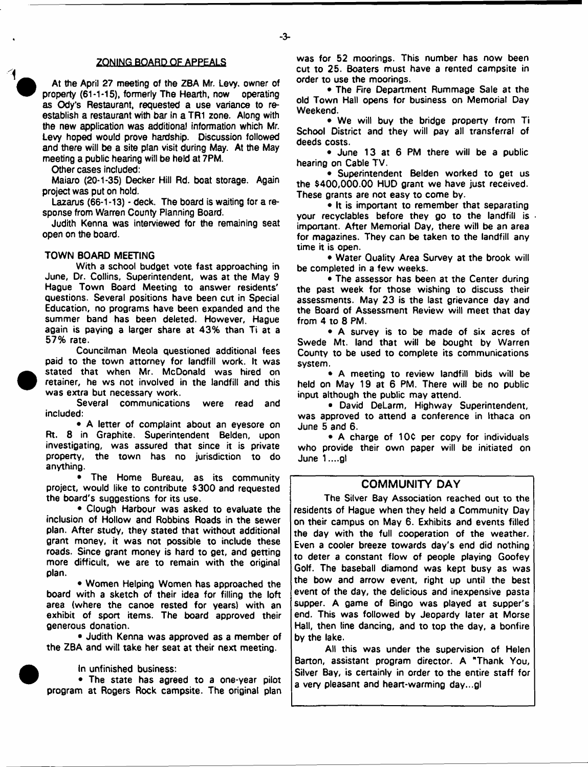### ZONING BOARD OF APPEALS

At the April 27 meeting of the ZBA Mr. Levy, owner of property (61-1-15), formerly The Hearth, now operating as Ody's Restaurant, requested a use variance to reestablish a restaurant with bar in a TR1 zone. Along with the new application was additional information which Mr. Levy hoped would prove hardship. Discussion followed and there will be a site plan visit during May. At the May meeting a public hearing will be held at 7PM.

Other cases included:

Maiaro (20-1-35) Decker Hill Rd. boat storage. Again project was put on hold.

Lazarus (66-1-13) - deck. The board is waiting for a response from Warren County Planning Board.

Judith Kenna was interviewed for the remaining seat open on the board.

#### TOWN BOARD MEETING

With a school budget vote fast approaching in June, Dr. Collins, Superintendent, was at the May 9 Hague Town Board Meeting to answer residents' questions. Several positions have been cut in Special Education, no programs have been expanded and the summer band has been deleted. However, Hague again is paying a larger share at 43% than Ti at a 57% rate.

Councilman Meola questioned additional fees paid to the town attorney for landfill work. It was stated that when Mr. McDonald was hired on retainer, he ws not involved in the landfill and this was extra but necessary work.

Several communications were read and included:

• A letter of complaint about an eyesore on Rt. 8 in Graphite. Superintendent Belden, upon investigating, was assured that since it is private property, the town has no jurisdiction to do anything.

The Home Bureau, as its community project, would like to contribute \$300 and requested the board's suggestions for its use.

• Clough Harbour was asked to evaluate the inclusion of Hollow and Robbins Roads in the sewer plan. After study, they stated that without additional grant money, it was not possible to include these roads. Since grant money is hard to get, and getting more difficult, we are to remain with the original plan.

• Women Helping Women has approached the board with a sketch of their idea for filling the loft area (where the canoe rested for years) with an exhibit of sport items. The board approved their generous donation.

• Judith Kenna was approved as a member of the ZBA and will take her seat at their next meeting.

In unfinished business:

• The state has agreed to a one-year pilot program at Rogers Rock campsite. The original plan was for 52 moorings. This number has now been cut to 25. Boaters must have a rented campsite in order to use the moorings.

• The Fire Department Rummage Sale at the old Town Hall opens for business on Memorial Day Weekend.

• We will buy the bridge property from Ti School District and they will pay all transferral of deeds costs.

• June 13 at 6 PM there will be a public hearing on Cable TV.

• Superintendent Belden worked to get us the \$400,000.00 HUD grant we have just received. These grants are not easy to come by.

• It is important to remember that separating your recyclables before they go to the landfill is important. After Memorial Day, there will be an area for magazines. They can be taken to the landfill any time it is open.

• Water Quality Area Survey at the brook will be completed in a few weeks.

• The assessor has been at the Center during the past week for those wishing to discuss their assessments. May 23 is the last grievance day and the Board of Assessment Review will meet that day from 4 to 8 PM.

• A survey is to be made of six acres of Swede Mt. land that will be bought by Warren County to be used to complete its communications system.

• A meeting to review landfill bids will be held on May 19 at 6 PM. There will be no public input although the public may attend.

• David DeLarm, Highway Superintendent, was approved to attend a conference in Ithaca on June 5 and 6.

• A charge of 10¢ per copy for individuals who provide their own paper will be initiated on June 1 ....gl

## **COMMUNITY DAY**

The Silver Bay Association reached out to the residents of Hague when they held a Community Day on their campus on May 6. Exhibits and events filled the day with the full cooperation of the weather. Even a cooler breeze towards day's end did nothing to deter a constant flow of people playing Goofey Golf. The baseball diamond was kept busy as was the bow and arrow event, right up until the best event of the day, the delicious and inexpensive pasta supper. A game of Bingo was played at supper's end. This was followed by Jeopardy later at Morse Hall, then tine dancing, and to top the day, a bonfire by the lake.

All this was under the supervision of Helen Barton, assistant program director. A "Thank You, Silver Bay, is certainly in order to the entire staff for a very pleasant and heart-warming day...gl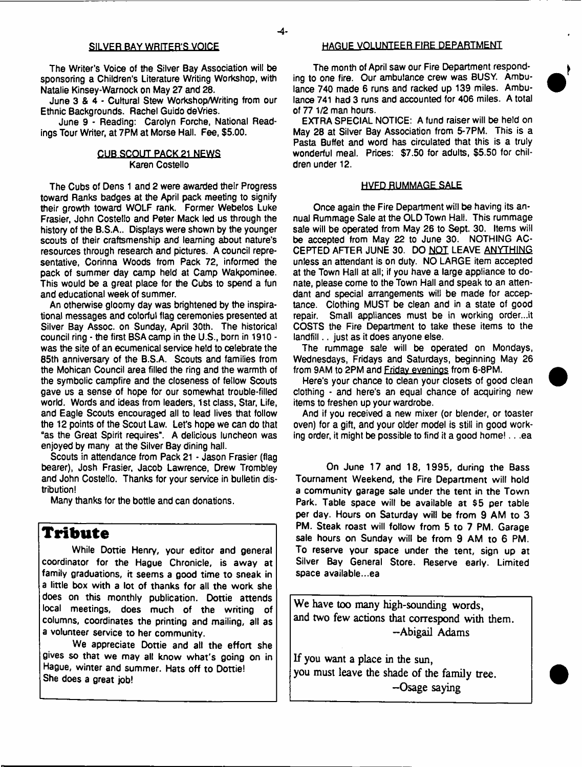#### SILVER BAY WRITER'S VOICE

The Writer's Voice of the Silver Bay Association will be sponsoring a Children's Literature Writing Workshop, with Natalie Kinsey-Warnock on May 27 and 28.

June 3 & 4 - Cultural Stew Workshop/Writing from our Ethnic Backgrounds. Rachel Guido deVries.

June 9 - Reading: Carolyn Forche, National Readings Tour Writer, at 7PM at Morse Hall. Fee, \$5.00.

#### CUB SCOUT PACK 21 NEWS Karen Costello

The Cubs of Dens 1 and 2 were awarded their Progress toward Ranks badges at the April pack meeting to signify their growth toward WOLF rank. Former Webelos Luke Frasier, John Costello and Peter Mack led us through the history of the B.S.A.. Displays were shown by the younger scouts of their craftsmenship and learning about nature's resources through research and pictures. A council representative, Corinna Woods from Pack 72, informed the pack of summer day camp held at Camp Wakpominee. This would be a great place for the Cubs to spend a fun and educational week of summer.

An otherwise gloomy day was brightened by the inspirational messages and colorful flag ceremonies presented at Silver Bay Assoc, on Sunday, April 30th. The historical council ring - the first BSAcamp in the U.S., born in 1910 was the site of an ecumenical service held to celebrate the 85th anniversary of the B.S.A. Scouts and families from the Mohican Council area filled the ring and the warmth of the symbolic campfire and the closeness of fellow Scouts gave us a sense of hope for our somewhat trouble-filled world. Words and ideas from leaders, 1 st class, Star, Life, and Eagle Scouts encouraged all to lead lives that follow the 12 points of the Scout Law. Let's hope we can do that "as the Great Spirit requires\*. A delicious luncheon was enjoyed by many at the Silver Bay dining hall.

Scouts in attendance from Pack 21 - Jason Frasier (flag bearer), Josh Frasier, Jacob Lawrence, Drew Trombley and John Costello. Thanks for your service in bulletin distribution!

Many thanks for the bottle and can donations.

# **Tribute**

While Dottie Henry, your editor and general coordinator for the Hague Chronicle, is away at family graduations, it seems a good time to sneak in a little box with a lot of thanks for all the work she does on this monthly publication. Dottie attends local meetings, does much of the writing of columns, coordinates the printing and mailing, all as a volunteer service to her community.

We appreciate Dottie and all the effort she gives so that we may all know what's going on in Hague, winter and summer. Hats off to Dottie! She does a great job!

#### HAGUE VOLUNTEER FIRE DEPARTMENT

The month of April saw our Fire Department responding to one fire. Our ambulance crew was BUSY. Ambulance 740 made 6 runs and racked up 139 miles. Ambulance 741 had 3 runs and accounted for 406 miles. A total of 77 1/2 man hours.

EXTRA SPECIAL NOTICE: A fund raiser will be held on May 28 at Silver Bay Association from 5-7PM. This is a Pasta Buffet and word has circulated that this is a truly wonderful meal. Prices: \$7.50 for adults, \$5.50 for children under 12.

#### HVFD RUMMAGE SALE

Once again the Fire Department will be having its annual Rummage Sale at the OLD Town Hall. This rummage sale will be operated from May 26 to Sept. 30. Items will be accepted from May 22 to June 30. NOTHING AC-CEPTED AFTER JUNE 30. DO NOT LEAVE ANYTHING unless an attendant is on duty. NO LARGE item accepted at the Town Hall at all; if you have a large appliance to donate, please come to the Town Hall and speak to an attendant and special arrangements will be made for acceptance. Clothing MUST be clean and in a state of good repair. Small appliances must be in working order...it COSTS the Fire Department to take these items to the landfill.. just as it does anyone else.

The rummage sale will be operated on Mondays, Wednesdays, Fridays and Saturdays, beginning May 26 from 9AM to 2PM and Friday evenings from 6-8PM.

Here's your chance to clean your closets of good clean clothing - and here's an equal chance of acquiring new items to freshen up your wardrobe.

And if you received a new mixer (or blender, or toaster oven) for a gift, and your older model is still in good working order, it might be possible to find it a good home! . . .ea

On June 17 and 18, 1995, during the Bass Tournament Weekend, the Fire Department will hold a community garage sale under the tent in the Town Park. Table space will be available at \$5 per table per day. Hours on Saturday will be from 9 AM to 3 PM. Steak roast will follow from 5 to 7 PM. Garage sale hours on Sunday will be from 9 AM to 6 PM. To reserve your space under the tent, sign up at Silver Bay General Store. Reserve early. Limited space available...ea

We have too many high-sounding words, and two few actions that correspond with them. -Abigail Adams

If you want a place in the sun, you must leave the shade of the family tree. -Osage saying

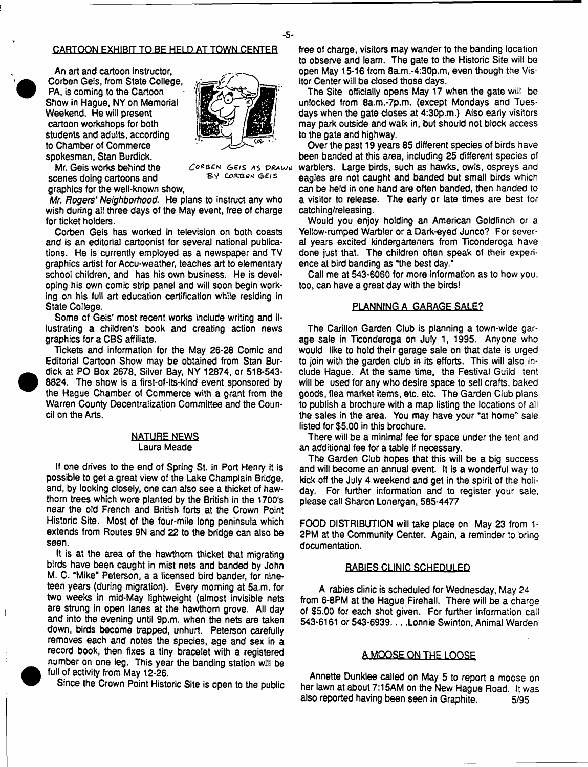#### CARTOON EXHIBIT TO BE HELD AT TOWN CENTER

An art and cartoon instructor, Corben Geis, from State College, PA, is coming to the Cartoon Show in Hague, NY on Memorial Weekend. He will present cartoon workshops for both students and adults, according to Chamber of Commerce spokesman, Stan Burdick.



Mr. Geis works behind the scenes doing cartoons and graphics for the well-known show,

CORBEN GEIS AS DRAWN BY CORBEN GEIS

*Mr. Rogers*' *Neighborhood.* He plans to instruct any who wish during ail three days of the May event, free of charge for ticket holders.

Corben Geis has worked in television on both coasts and is an editorial cartoonist for several national publications. He is currently employed as a newspaper and TV graphics artist for Accu-weather, teaches art to elementary school children, and has his own business. He is developing his own comic strip panel and will soon begin working on his full art education certification while residing in State College.

Some of Geis' most recent works include writing and illustrating a children's book and creating action news graphics for a CBS affiliate.

Tickets and information for the May 26-28 Comic and Editorial Cartoon Show may be obtained from Stan Burdick at PO Box 2678, Silver Bay, NY 12874, or 518-543- 8824. The show is a first-of-its-kind event sponsored by the Hague Chamber of Commerce with a grant from the Warren County Decentralization Committee and the Council on the Arts.

#### NATURE NEWS Laura Meade

If one drives to the end of Spring St. in Port Henry it is possible to get a great view of the Lake Champlain Bridge, and, by looking closely, one can also see a thicket of hawthorn trees which were planted by the British in the 1700's near the old French and British forts at the Crown Point Historic Site. Most of the four-mile long peninsula which extends from Routes 9N and 22 to the bridge can also be seen.

It is at the area of the hawthorn thicket that migrating birds have been caught in mist nets and banded by John M. C. "Mike' Peterson, a a licensed bird bander, for nineteen years (during migration). Every morning at 5a.m. for two weeks in mid-May lightweight (almost invisible nets are strung in open lanes at the hawthorn grove. All day and into the evening until 9p.m. when the nets are taken down, birds become trapped, unhurt. Peterson carefully removes each and notes the species, age and sex in a record book, then fixes a tiny bracelet with a registered number on one leg. This year the banding station will be full of activity from May 12-26.

 $\overline{\phantom{a}}$ 

Since the Crown Point Historic Site is open to the public

free of charge, visitors may wander to the banding location to observe and learn. The gate to the Historic Site will be open May 15-16 from 8a.m.-4:30p.m, even though the Visitor Center will be closed those days.

The Site officially opens May 17 when the gate will be unlocked from 8a.m.-7p.m. (except Mondays and Tuesdays when the gate closes at 4:30p.m.) Also early visitors may park outside and walk in, but should not block access to the gate and highway.

Over the past 19 years 85 different species of birds have been banded at this area, including 25 different species of warblers. Large birds, such as hawks, owls, ospreys and eagles are not caught and banded but small birds which can be held in one hand are often banded, then handed to a visitor to release. The early or late times are best for catching/releasing.

Would you enjoy holding an American Goldfinch or a Yellow-rumped Warbler or a Dark-eyed Junco? For several years excited kindergarteners from Ticonderoga have done just that. The children often speak of their experience at bird banding as "the best day.'

Call me at 543-6060 for more information as to how you, too, can have a great day with the birds!

#### PLANNING A GARAGE SALE?

The Carillon Garden Club is planning a town-wide garage sale in Ticonderoga on July 1, 1995. Anyone who would like to hold their garage sale on that date is urged to join with the garden club in its efforts. This will also include Hague. At the same time, the Festival Guild tent will be used for any who desire space to sell crafts, baked goods, flea market items, etc. etc. The Garden Club plans to publish a brochure with a map listing the locations of all the sales in the area. You may have your "at home" sale listed for \$5.00 in this brochure.

There will be a minimal fee for space under the tent and an additional fee for a table if necessary.

The Garden Club hopes that this will be a big success and will become an annual event. It is a wonderful way to kick off the July 4 weekend and get in the spirit of the holiday. For further information and to register your sale, please call Sharon Lonergan, 585-4477

FOOD DISTRIBUTION will take place on May 23 from 1- 2PM at the Community Center. Again, a reminder to bring documentation.

#### RABIES CLINIC SCHEDULED

A rabies clinic is scheduled for Wednesday, May 24 from 6-8PM at the Hague Firehall. There will be a charge of \$5.00 for each shot given. For further information call 543-6161 or 543-6939. . . . Lonnie Swinton, Animal Warden

#### A MOOSE ON THE LOOSF

Annette Dunklee called on May 5 to report a moose on her lawn at about 7:15AM on the New Hague Road. It was also reported having been seen in Graphite. 5/95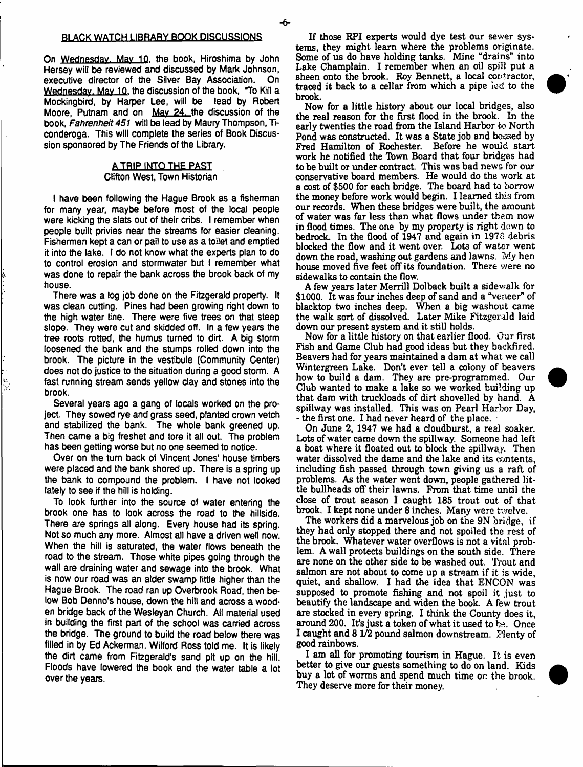On Wednesday. Mav 10, the book, Hiroshima by John Hersey will be reviewed and discussed by Mark Johnson, executive director of the Silver Bay Association. On Wednesday. May 10, the discussion of the book, "To Kill a Mockingbird, by Harper Lee, will be lead by Robert Moore, Putnam and on May 24. the discussion of the book, *Fahrenheit 451* will be lead by Maury Thompson, Ticonderoga. This will complete the series of Book Discussion sponsored by The Friends of the Library.

#### ATRIP INTO THE PAST Clifton West, Town Historian

I have been following the Hague Brook as a fisherman for many year, maybe before most of the local people were kicking the slats out of their cribs. I remember when people built privies near the streams for easier cleaning. Fishermen kept a can or pail to use as a toilet and emptied it into the lake. I do not know what the experts plan to do to control erosion and stormwater but I remember what was done to repair the bank across the brook back of my house.

There was a log job done on the Fitzgerald property. It was clean cutting. Pines had been growing right down to the high water line. There were five trees on that steep slope. They were cut and skidded off. In a few years the tree roots rotted, the humus turned to dirt. A big storm loosened the bank and the stumps rolled down into the brook. The picture in the vestibule (Community Center) does not do justice to the situation during a good storm. A fast running stream sends yellow clay and stones into the brook.

Several years ago a gang of locals worked on the project. They sowed rye and grass seed, planted crown vetch and stabilized the bank. The whole bank greened up. Then came a big freshet and tore it all out. The problem has been getting worse but no one seemed to notice.

le.<br>D

Over on the turn back of Vincent Jones' house timbers were placed and the bank shored up. There is a spring up the bank to compound the problem. I have not looked lately to see if the hill is holding.

To look further into the source of water entering the brook one has to look across the road to the hillside. There are springs all along. Every house had its spring. Not so much any more. Almost all have a driven well now. When the hill is saturated, the water flows beneath the road to the stream. Those white pipes going through the wall are draining water and sewage into the brook. What is now our road was an alder swamp little higher than the Hague Brook. The road ran up Overbrook Road, then below Bob Denno's house, down the hill and across a wooden bridge back of the Wesleyan Church. All material used in building the first part of the school was carried across the bridge. The ground to build the road below there was filled in by Ed Ackerman. Wilford Ross told me. It is likely the dirt came from Fitzgerald's sand pit up on the hill. Floods have lowered the book and the water table a lot over the years.

If those RPI experts would dye test our sewer systems, they might learn where the problems originate. Some of us do have holding tanks. Mine "drains" into Lake Champlain. I remember when an oil spill put a sheen onto the brook. Roy Bennett, a local contractor, traced it back to a cellar from which a pipe led to the brook.



A few years later Merrill Dolback built a sidewalk for \$1000. It was four inches deep of sand and a "veneer" of blacktop two inches deep. When a big washout came the walk sort of dissolved. Later Mike Fitzgerald laid down our present system and it still holds.

Now for a little history on that earlier flood. Our first Fish and Game Club had good ideas but they backfired. Beavers had for years maintained a dam at what we call Wintergreen Lake. Don't ever tell a colony of beavers how to build a dam. They are pre-programmed. Our Club wanted to make a lake so we worked bui!ding up that dam with truckloads of dirt shovelled by hand. A spillway was installed. This was on Pearl Harbor Day, - the first one. I had never heard of the place.

On June 2, 1947 we had a cloudburst, a real soaker. Lots of water came down the spillway. Someone had left a boat where it floated out to block the spillway. Then water dissolved the dame and the lake and its contents, including fish passed through town giving us a raft of problems. As the water went down, people gathered little bullheads off their lawns. From that time until the close of trout season I caught 185 trout out of that brook. I kept none under 8 inches. Many were twelve.

The workers did a marvelous job on the 9N bridge, if they had only stopped there and not spoiled the rest of the brook. Whatever water overflows is not a vital problem. A wall protects buildings on the south side. There are none on the other side to be washed out. Trout and salmon are not about to come up a stream if it is wide, quiet, and shallow. I had the idea that ENCON was supposed to promote fishing and not spoil it just to beautify the landscape and widen the book. A few trout are stocked in every spring. I think the County does it, around 200. It's just a token of what it used to be. Once I caught and 8 1/2 pound salmon downstream. Plenty of good rainbows.

I am all for promoting tourism in Hague. It is even better to give our guests something to do on land. Kids buy a lot of worms and spend much time or. the brook. They deserve more for their money.

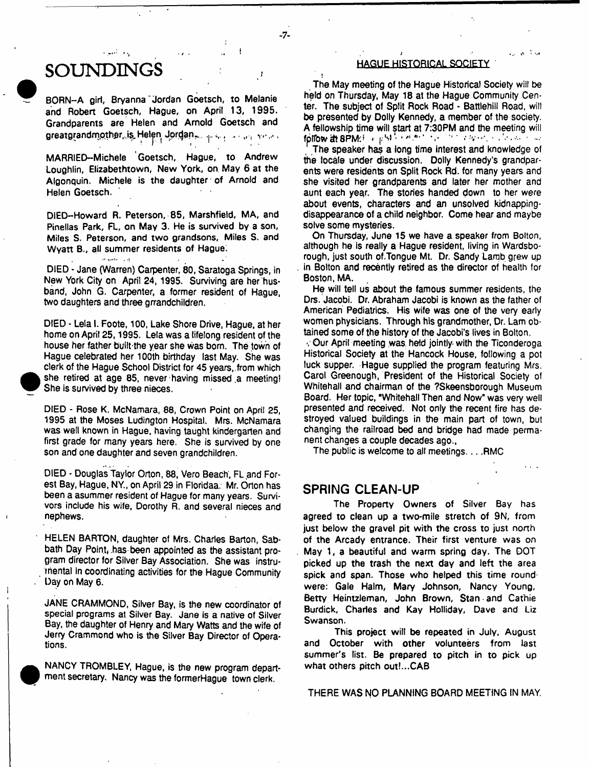# SOUNI

الموارد المعقلة للمر

BORN-A girl, Bryanna Jordan Goetsch, to Melanie and Robert Goetsch, Hague, on April 13, 1995. Grandparents are Helen and Arnold Goetsch and greatgrandmother..is, Helen Jordan... (e.s. ... in each view)

 $-7-$ 

MARRIED-Michele Goetsch, Hague, to Andrew Loughlin, Elizabethtown, New York, on. May 6 at the Algonquin. Michele is the daughter of Arnold and Helen Goetsch.

DIED-Howard R. Peterson, 85, Marshfield, MA, and Pinellas Park, Fl\_, on May 3. He is survived by a son, Miles S. Peterson, and two grandsons. Miles S. and Wyatt B., all summer residents of Hague;

DIED - Jane (Warren) Carpenter, 80, Saratoga Springs, in New York City on April 24, 1995. Surviving are her husband, John G. Carpenter, a former resident of Hague, two daughters and three grrandchildren.

DIED - Lela I. Foote, 100, Lake Shore Drive, Hague, at her home on April 25,1995. Lela was a lifelong resident of the house her father built the year she was bom. The town of Hague celebrated her 100th birthday last May. She was clerk of the Hague School District for 45 years, from which she retired at age 85, never having missed,a meeting! She is survived by three nieces.

DIED - Rose K. McNamara, 88, Crown Point on April 25, 1995 at the Moses Ludington Hospital. Mrs. McNamara was well known in Hague, having taught kindergarten and first grade for many years here. She is survived by one son and one daughter and seven grandchildren.

DIED - Douglas Taylor Orton, 88, Vero Beach, FL and Forest Bay, Hague, NY, on April 29 in Floridaa. Mr. Orton has been a asummer resident of Hague for many years. Survivors include his wife, Dorothy R. and several nieces and nephews.

HELEN BARTON, daughter of Mrs. Charles Barton, Sabbath Day Point, has been appointed as the assistant program director for Silver Bay Association. She was instrumental in coordinating activities for the Hague Community Day on May 6.

JANE CRAMMOND, Silver Bay, is the new coordinator of special programs at Silver Bay. Jane is a native of Silver Bay, the daughter of Henry and Mary Watts and the wife of Jerry Crammond who is the Silver Bay Director of Operations.

NANCY TROMBLEY, Hague, is the new program department secretary. Nancy was the formerHague town clerk.

## **HAGUE HISTORICAL SOCIETY**

The May meeting of the Hague Historical Society will be held on Thursday, May 18 at the Hague Community Center. The subject of Split Rock Road - Battlehiil Road, will be presented by Dolly Kennedy, a member of the society. A fellowship time will start at 7:30PM and the meeting will fpflbw 2t 8PM\*:! r ,;M - v ■ \* v ■

The speaker has a long time interest and knowledge of the locale under discussion. Dolly Kennedy's grandparents were residents on Split Rock Rd. for many years and she visited her grandparents and later her mother and aunt each year. The stories handed down to her were about events, characters and an unsolved kidnappingdisappearance of a child neighbor. Come hear and maybe solve some mysteries.

On Thursday, June 15 we have a speaker from Bolton, although he is really a Hague resident, living in Wardsborough, just south of Tongue Mt. Dr. Sandy Lamb grew up in Bolton and recently retired as the director of health for Boston, MA.

He will tell us about the famous summer residents, the Drs. Jacobi. Dr. Abraham Jacobi is known as the father of American Pediatrics. His wife was one of the very early women physicians. Through his grandmother, Dr. Lam obtained some of the history of the Jacobi's lives in Bolton.

-. Our April meeting was. held jointly-with the Ticonderoga Historical Society at the Hancock House, following a pot luck supper. Hague supplied the program featuring Mrs. Carol Greenough, President of the Historical Society of Whitehall and chairman of the ?Skeensborough Museum Board. Her topic, "Whitehall Then and Now" was very well presented and received. Not only the recent fire has destroyed valued buildings in the main part of town, but changing the railroad bed and bridge had made permanent changes a couple decades ago.,

The public is welcome to all meetings....RMC

## **SPRING CLEAN-UP**

The Property Owners of Silver Bay has agreed to clean up a two-mile stretch of 9N, from just below the gravel pit with the cross to just north of the Arcady entrance. Their first venture was on May 1, a beautiful and warm spring day. The DOT picked up the trash the next day and left the area spick and span. Those who helped this time round' were: Gale Halm, Mary Johnson, Nancy Young, Betty Heintzleman, John Brown, Stan and Cathie Burdick, Charles and Kay Holliday, Dave and Liz Swanson.

This project will be repeated in July, August and October with other volunteers from last summer's list. Be prepared to pitch in to pick up what others pitch out!...CAB

THERE WAS NO PLANNING BOARD MEETING IN MAY.